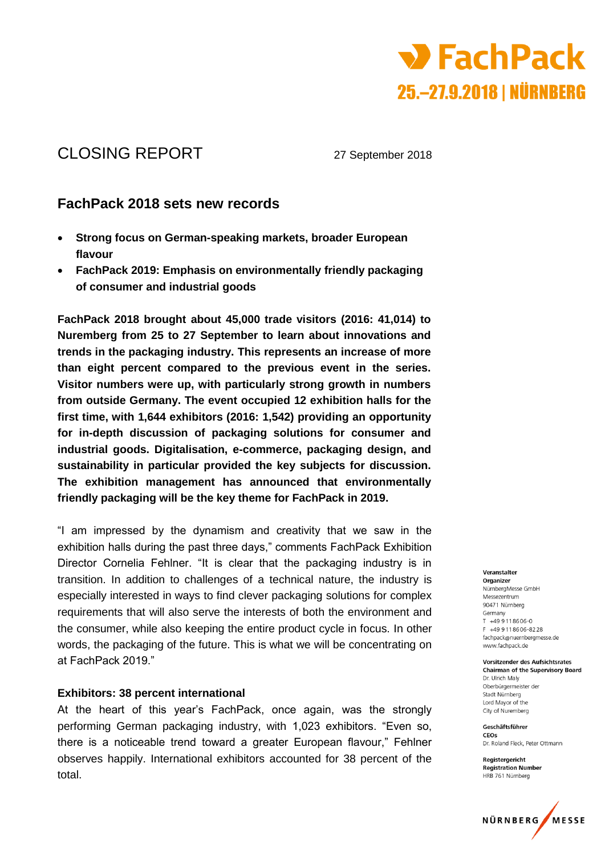

# CLOSING REPORT 27 September 2018

## **FachPack 2018 sets new records**

- **Strong focus on German-speaking markets, broader European flavour**
- **FachPack 2019: Emphasis on environmentally friendly packaging of consumer and industrial goods**

**FachPack 2018 brought about 45,000 trade visitors (2016: 41,014) to Nuremberg from 25 to 27 September to learn about innovations and trends in the packaging industry. This represents an increase of more than eight percent compared to the previous event in the series. Visitor numbers were up, with particularly strong growth in numbers from outside Germany. The event occupied 12 exhibition halls for the first time, with 1,644 exhibitors (2016: 1,542) providing an opportunity for in-depth discussion of packaging solutions for consumer and industrial goods. Digitalisation, e-commerce, packaging design, and sustainability in particular provided the key subjects for discussion. The exhibition management has announced that environmentally friendly packaging will be the key theme for FachPack in 2019.**

"I am impressed by the dynamism and creativity that we saw in the exhibition halls during the past three days," comments FachPack Exhibition Director Cornelia Fehlner. "It is clear that the packaging industry is in transition. In addition to challenges of a technical nature, the industry is especially interested in ways to find clever packaging solutions for complex requirements that will also serve the interests of both the environment and the consumer, while also keeping the entire product cycle in focus. In other words, the packaging of the future. This is what we will be concentrating on at FachPack 2019."

## **Exhibitors: 38 percent international**

At the heart of this year's FachPack, once again, was the strongly performing German packaging industry, with 1,023 exhibitors. "Even so, there is a noticeable trend toward a greater European flavour," Fehlner observes happily. International exhibitors accounted for 38 percent of the total.

Veranstalter

Organizer NürnbergMesse GmbH Messezentrum 90471 Nürnberg Germany  $T = 49.9118606 - 0$ F +49 9 11 8 6 0 6 - 8 2 2 8 fachpack@nuernbergmesse.de www.fachpack.de

Vorsitzender des Aufsichtsrates **Chairman of the Supervisory Board** Dr. Ulrich Malv Oberbürgermeister der Stadt Nürnberg Lord Mayor of the City of Nuremberg

Geschäftsführer CEOS Dr. Roland Fleck. Peter Ottmann

Registergericht **Registration Number** HRB 761 Nürnberg

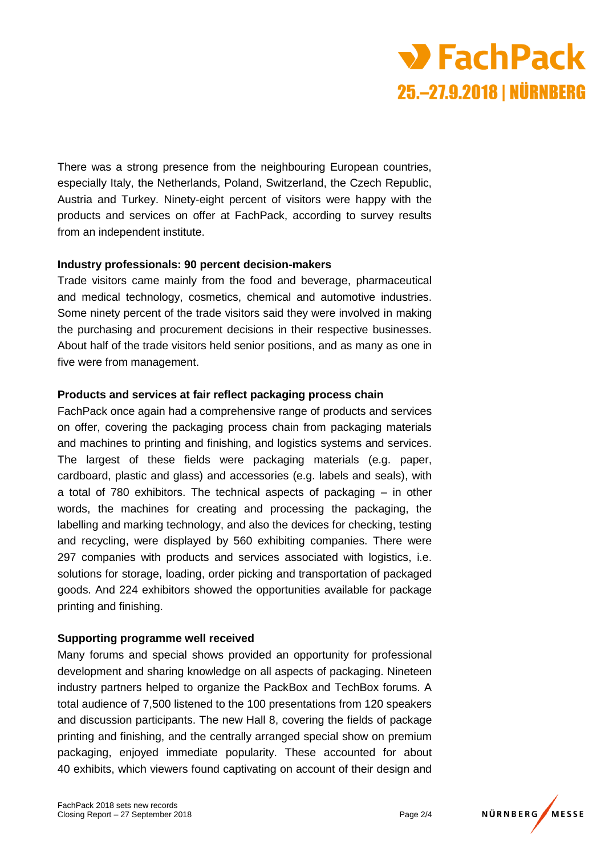

There was a strong presence from the neighbouring European countries, especially Italy, the Netherlands, Poland, Switzerland, the Czech Republic, Austria and Turkey. Ninety-eight percent of visitors were happy with the products and services on offer at FachPack, according to survey results from an independent institute.

#### **Industry professionals: 90 percent decision-makers**

Trade visitors came mainly from the food and beverage, pharmaceutical and medical technology, cosmetics, chemical and automotive industries. Some ninety percent of the trade visitors said they were involved in making the purchasing and procurement decisions in their respective businesses. About half of the trade visitors held senior positions, and as many as one in five were from management.

#### **Products and services at fair reflect packaging process chain**

FachPack once again had a comprehensive range of products and services on offer, covering the packaging process chain from packaging materials and machines to printing and finishing, and logistics systems and services. The largest of these fields were packaging materials (e.g. paper, cardboard, plastic and glass) and accessories (e.g. labels and seals), with a total of 780 exhibitors. The technical aspects of packaging – in other words, the machines for creating and processing the packaging, the labelling and marking technology, and also the devices for checking, testing and recycling, were displayed by 560 exhibiting companies. There were 297 companies with products and services associated with logistics, i.e. solutions for storage, loading, order picking and transportation of packaged goods. And 224 exhibitors showed the opportunities available for package printing and finishing.

#### **Supporting programme well received**

Many forums and special shows provided an opportunity for professional development and sharing knowledge on all aspects of packaging. Nineteen industry partners helped to organize the PackBox and TechBox forums. A total audience of 7,500 listened to the 100 presentations from 120 speakers and discussion participants. The new Hall 8, covering the fields of package printing and finishing, and the centrally arranged special show on premium packaging, enjoyed immediate popularity. These accounted for about 40 exhibits, which viewers found captivating on account of their design and

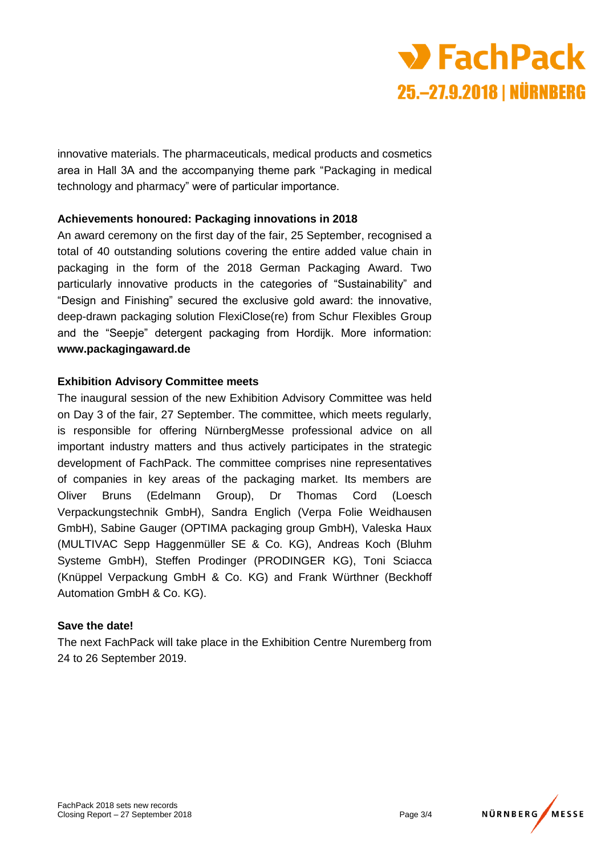

innovative materials. The pharmaceuticals, medical products and cosmetics area in Hall 3A and the accompanying theme park "Packaging in medical technology and pharmacy" were of particular importance.

## **Achievements honoured: Packaging innovations in 2018**

An award ceremony on the first day of the fair, 25 September, recognised a total of 40 outstanding solutions covering the entire added value chain in packaging in the form of the 2018 German Packaging Award. Two particularly innovative products in the categories of "Sustainability" and "Design and Finishing" secured the exclusive gold award: the innovative, deep-drawn packaging solution FlexiClose(re) from Schur Flexibles Group and the "Seepje" detergent packaging from Hordijk. More information: **www.packagingaward.de**

## **Exhibition Advisory Committee meets**

The inaugural session of the new Exhibition Advisory Committee was held on Day 3 of the fair, 27 September. The committee, which meets regularly, is responsible for offering NürnbergMesse professional advice on all important industry matters and thus actively participates in the strategic development of FachPack. The committee comprises nine representatives of companies in key areas of the packaging market. Its members are Oliver Bruns (Edelmann Group), Dr Thomas Cord (Loesch Verpackungstechnik GmbH), Sandra Englich (Verpa Folie Weidhausen GmbH), Sabine Gauger (OPTIMA packaging group GmbH), Valeska Haux (MULTIVAC Sepp Haggenmüller SE & Co. KG), Andreas Koch (Bluhm Systeme GmbH), Steffen Prodinger (PRODINGER KG), Toni Sciacca (Knüppel Verpackung GmbH & Co. KG) and Frank Würthner (Beckhoff Automation GmbH & Co. KG).

#### **Save the date!**

The next FachPack will take place in the Exhibition Centre Nuremberg from 24 to 26 September 2019.